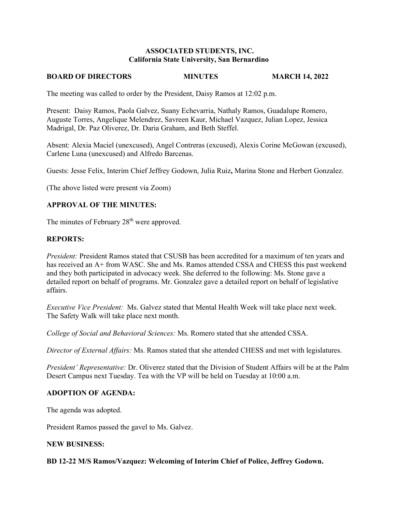# **ASSOCIATED STUDENTS, INC. California State University, San Bernardino**

### **BOARD OF DIRECTORS MINUTES MARCH 14, 2022**

The meeting was called to order by the President, Daisy Ramos at 12:02 p.m.

Present: Daisy Ramos, Paola Galvez, Suany Echevarria, Nathaly Ramos, Guadalupe Romero, Auguste Torres, Angelique Melendrez, Savreen Kaur, Michael Vazquez, Julian Lopez, Jessica Madrigal, Dr. Paz Oliverez, Dr. Daria Graham, and Beth Steffel.

Absent: Alexia Maciel (unexcused), Angel Contreras (excused), Alexis Corine McGowan (excused), Carlene Luna (unexcused) and Alfredo Barcenas.

Guests: Jesse Felix, Interim Chief Jeffrey Godown, Julia Ruiz**,** Marina Stone and Herbert Gonzalez.

(The above listed were present via Zoom)

# **APPROVAL OF THE MINUTES:**

The minutes of February 28<sup>th</sup> were approved.

### **REPORTS:**

*President:* President Ramos stated that CSUSB has been accredited for a maximum of ten years and has received an A+ from WASC. She and Ms. Ramos attended CSSA and CHESS this past weekend and they both participated in advocacy week. She deferred to the following: Ms. Stone gave a detailed report on behalf of programs. Mr. Gonzalez gave a detailed report on behalf of legislative affairs.

*Executive Vice President:* Ms. Galvez stated that Mental Health Week will take place next week. The Safety Walk will take place next month.

*College of Social and Behavioral Sciences:* Ms. Romero stated that she attended CSSA.

*Director of External Affairs:* Ms. Ramos stated that she attended CHESS and met with legislatures.

*President' Representative:* Dr. Oliverez stated that the Division of Student Affairs will be at the Palm Desert Campus next Tuesday. Tea with the VP will be held on Tuesday at 10:00 a.m.

#### **ADOPTION OF AGENDA:**

The agenda was adopted.

President Ramos passed the gavel to Ms. Galvez.

# **NEW BUSINESS:**

#### **BD 12-22 M/S Ramos/Vazquez: Welcoming of Interim Chief of Police, Jeffrey Godown.**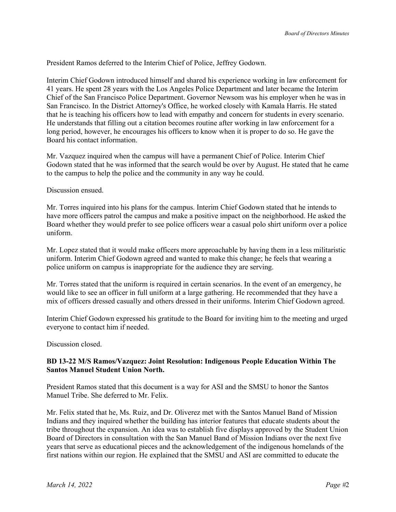President Ramos deferred to the Interim Chief of Police, Jeffrey Godown.

Interim Chief Godown introduced himself and shared his experience working in law enforcement for 41 years. He spent 28 years with the Los Angeles Police Department and later became the Interim Chief of the San Francisco Police Department. Governor Newsom was his employer when he was in San Francisco. In the District Attorney's Office, he worked closely with Kamala Harris. He stated that he is teaching his officers how to lead with empathy and concern for students in every scenario. He understands that filling out a citation becomes routine after working in law enforcement for a long period, however, he encourages his officers to know when it is proper to do so. He gave the Board his contact information.

Mr. Vazquez inquired when the campus will have a permanent Chief of Police. Interim Chief Godown stated that he was informed that the search would be over by August. He stated that he came to the campus to help the police and the community in any way he could.

Discussion ensued.

Mr. Torres inquired into his plans for the campus. Interim Chief Godown stated that he intends to have more officers patrol the campus and make a positive impact on the neighborhood. He asked the Board whether they would prefer to see police officers wear a casual polo shirt uniform over a police uniform.

Mr. Lopez stated that it would make officers more approachable by having them in a less militaristic uniform. Interim Chief Godown agreed and wanted to make this change; he feels that wearing a police uniform on campus is inappropriate for the audience they are serving.

Mr. Torres stated that the uniform is required in certain scenarios. In the event of an emergency, he would like to see an officer in full uniform at a large gathering. He recommended that they have a mix of officers dressed casually and others dressed in their uniforms. Interim Chief Godown agreed.

Interim Chief Godown expressed his gratitude to the Board for inviting him to the meeting and urged everyone to contact him if needed.

Discussion closed.

# **BD 13-22 M/S Ramos/Vazquez: Joint Resolution: Indigenous People Education Within The Santos Manuel Student Union North.**

President Ramos stated that this document is a way for ASI and the SMSU to honor the Santos Manuel Tribe. She deferred to Mr. Felix.

Mr. Felix stated that he, Ms. Ruiz, and Dr. Oliverez met with the Santos Manuel Band of Mission Indians and they inquired whether the building has interior features that educate students about the tribe throughout the expansion. An idea was to establish five displays approved by the Student Union Board of Directors in consultation with the San Manuel Band of Mission Indians over the next five years that serve as educational pieces and the acknowledgement of the indigenous homelands of the first nations within our region. He explained that the SMSU and ASI are committed to educate the